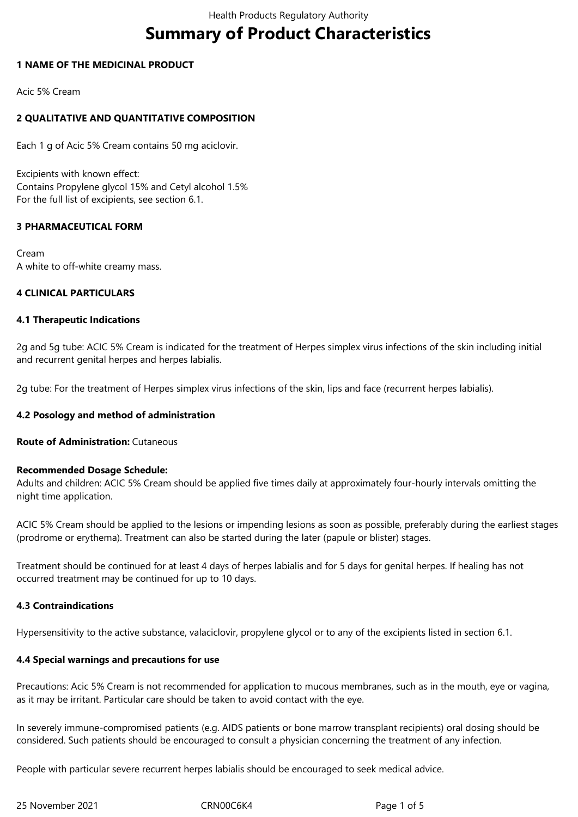# **Summary of Product Characteristics**

# **1 NAME OF THE MEDICINAL PRODUCT**

Acic 5% Cream

# **2 QUALITATIVE AND QUANTITATIVE COMPOSITION**

Each 1 g of Acic 5% Cream contains 50 mg aciclovir.

Excipients with known effect: Contains Propylene glycol 15% and Cetyl alcohol 1.5% For the full list of excipients, see section 6.1.

# **3 PHARMACEUTICAL FORM**

Cream A white to off-white creamy mass.

# **4 CLINICAL PARTICULARS**

## **4.1 Therapeutic Indications**

2g and 5g tube: ACIC 5% Cream is indicated for the treatment of Herpes simplex virus infections of the skin including initial and recurrent genital herpes and herpes labialis.

2g tube: For the treatment of Herpes simplex virus infections of the skin, lips and face (recurrent herpes labialis).

# **4.2 Posology and method of administration**

**Route of Administration:** Cutaneous

## **Recommended Dosage Schedule:**

Adults and children: ACIC 5% Cream should be applied five times daily at approximately four-hourly intervals omitting the night time application.

ACIC 5% Cream should be applied to the lesions or impending lesions as soon as possible, preferably during the earliest stages (prodrome or erythema). Treatment can also be started during the later (papule or blister) stages.

Treatment should be continued for at least 4 days of herpes labialis and for 5 days for genital herpes. If healing has not occurred treatment may be continued for up to 10 days.

# **4.3 Contraindications**

Hypersensitivity to the active substance, valaciclovir, propylene glycol or to any of the excipients listed in section 6.1.

# **4.4 Special warnings and precautions for use**

Precautions: Acic 5% Cream is not recommended for application to mucous membranes, such as in the mouth, eye or vagina, as it may be irritant. Particular care should be taken to avoid contact with the eye.

In severely immune-compromised patients (e.g. AIDS patients or bone marrow transplant recipients) oral dosing should be considered. Such patients should be encouraged to consult a physician concerning the treatment of any infection.

People with particular severe recurrent herpes labialis should be encouraged to seek medical advice.

25 November 2021 CRN00C6K4 Page 1 of 5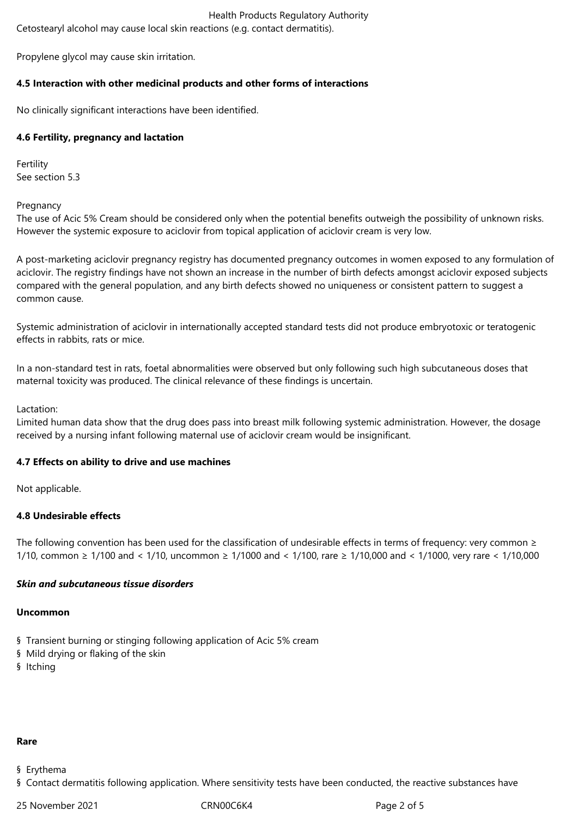# Health Products Regulatory Authority

Cetostearyl alcohol may cause local skin reactions (e.g. contact dermatitis).

Propylene glycol may cause skin irritation.

# **4.5 Interaction with other medicinal products and other forms of interactions**

No clinically significant interactions have been identified.

# **4.6 Fertility, pregnancy and lactation**

Fertility See section 5.3

Pregnancy

The use of Acic 5% Cream should be considered only when the potential benefits outweigh the possibility of unknown risks. However the systemic exposure to aciclovir from topical application of aciclovir cream is very low.

A post-marketing aciclovir pregnancy registry has documented pregnancy outcomes in women exposed to any formulation of aciclovir. The registry findings have not shown an increase in the number of birth defects amongst aciclovir exposed subjects compared with the general population, and any birth defects showed no uniqueness or consistent pattern to suggest a common cause.

Systemic administration of aciclovir in internationally accepted standard tests did not produce embryotoxic or teratogenic effects in rabbits, rats or mice.

In a non-standard test in rats, foetal abnormalities were observed but only following such high subcutaneous doses that maternal toxicity was produced. The clinical relevance of these findings is uncertain.

Lactation:

Limited human data show that the drug does pass into breast milk following systemic administration. However, the dosage received by a nursing infant following maternal use of aciclovir cream would be insignificant.

# **4.7 Effects on ability to drive and use machines**

Not applicable.

# **4.8 Undesirable effects**

The following convention has been used for the classification of undesirable effects in terms of frequency: very common  $\ge$ 1/10, common ≥ 1/100 and < 1/10, uncommon ≥ 1/1000 and < 1/100, rare ≥ 1/10,000 and < 1/1000, very rare < 1/10,000

# *Skin and subcutaneous tissue disorders*

## **Uncommon**

- § Transient burning or stinging following application of Acic 5% cream
- § Mild drying or flaking of the skin
- § Itching

# **Rare**

- § Erythema
- § Contact dermatitis following application. Where sensitivity tests have been conducted, the reactive substances have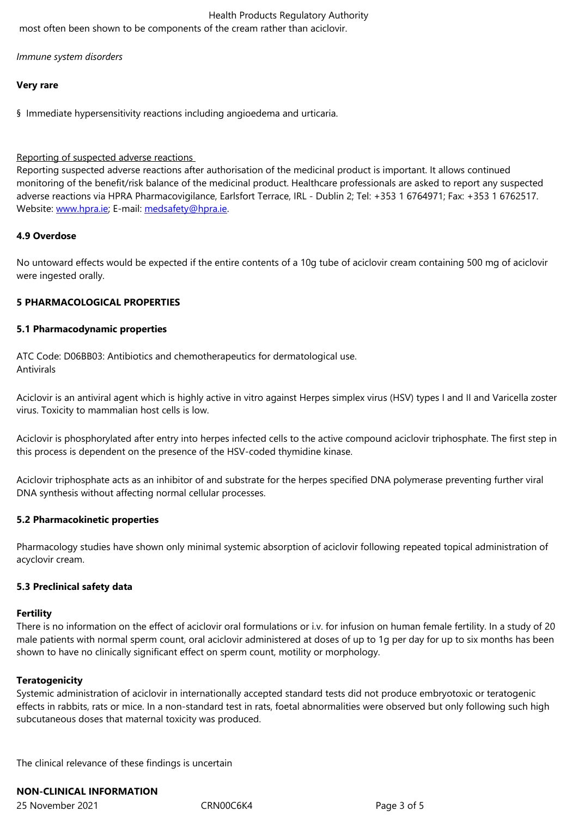*Immune system disorders*

#### **Very rare**

§ Immediate hypersensitivity reactions including angioedema and urticaria.

## Reporting of suspected adverse reactions

Reporting suspected adverse reactions after authorisation of the medicinal product is important. It allows continued monitoring of the benefit/risk balance of the medicinal product. Healthcare professionals are asked to report any suspected adverse reactions via HPRA Pharmacovigilance, Earlsfort Terrace, IRL - Dublin 2; Tel: +353 1 6764971; Fax: +353 1 6762517. Website: www.hpra.ie; E-mail: medsafety@hpra.ie.

#### **4.9 Overdose**

No unto[ward effects w](http://www.hpra.ie/)ould b[e expected if the ent](mailto:medsafety@hpra.ie)ire contents of a 10g tube of aciclovir cream containing 500 mg of aciclovir were ingested orally.

## **5 PHARMACOLOGICAL PROPERTIES**

#### **5.1 Pharmacodynamic properties**

ATC Code: D06BB03: Antibiotics and chemotherapeutics for dermatological use. Antivirals

Aciclovir is an antiviral agent which is highly active in vitro against Herpes simplex virus (HSV) types I and II and Varicella zoster virus. Toxicity to mammalian host cells is low.

Aciclovir is phosphorylated after entry into herpes infected cells to the active compound aciclovir triphosphate. The first step in this process is dependent on the presence of the HSV-coded thymidine kinase.

Aciclovir triphosphate acts as an inhibitor of and substrate for the herpes specified DNA polymerase preventing further viral DNA synthesis without affecting normal cellular processes.

#### **5.2 Pharmacokinetic properties**

Pharmacology studies have shown only minimal systemic absorption of aciclovir following repeated topical administration of acyclovir cream.

#### **5.3 Preclinical safety data**

#### **Fertility**

There is no information on the effect of aciclovir oral formulations or i.v. for infusion on human female fertility. In a study of 20 male patients with normal sperm count, oral aciclovir administered at doses of up to 1g per day for up to six months has been shown to have no clinically significant effect on sperm count, motility or morphology.

## **Teratogenicity**

Systemic administration of aciclovir in internationally accepted standard tests did not produce embryotoxic or teratogenic effects in rabbits, rats or mice. In a non-standard test in rats, foetal abnormalities were observed but only following such high subcutaneous doses that maternal toxicity was produced.

The clinical relevance of these findings is uncertain

## **NON-CLINICAL INFORMATION**

25 November 2021 CRN00C6K4 Page 3 of 5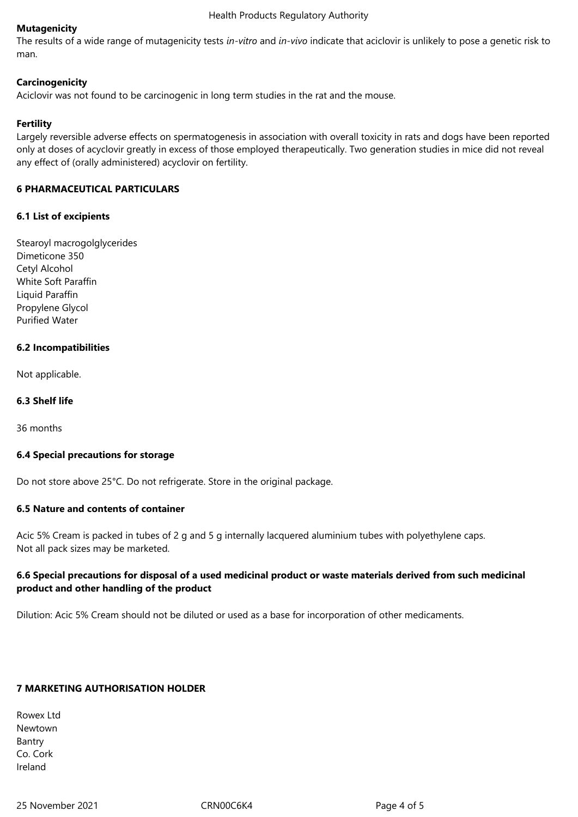# **Mutagenicity**

The results of a wide range of mutagenicity tests *in-vitro* and *in-vivo* indicate that aciclovir is unlikely to pose a genetic risk to man.

# **Carcinogenicity**

Aciclovir was not found to be carcinogenic in long term studies in the rat and the mouse.

# **Fertility**

Largely reversible adverse effects on spermatogenesis in association with overall toxicity in rats and dogs have been reported only at doses of acyclovir greatly in excess of those employed therapeutically. Two generation studies in mice did not reveal any effect of (orally administered) acyclovir on fertility.

# **6 PHARMACEUTICAL PARTICULARS**

# **6.1 List of excipients**

Stearoyl macrogolglycerides Dimeticone 350 Cetyl Alcohol White Soft Paraffin Liquid Paraffin Propylene Glycol Purified Water

# **6.2 Incompatibilities**

Not applicable.

## **6.3 Shelf life**

36 months

## **6.4 Special precautions for storage**

Do not store above 25°C. Do not refrigerate. Store in the original package.

## **6.5 Nature and contents of container**

Acic 5% Cream is packed in tubes of 2 g and 5 g internally lacquered aluminium tubes with polyethylene caps. Not all pack sizes may be marketed.

# **6.6 Special precautions for disposal of a used medicinal product or waste materials derived from such medicinal product and other handling of the product**

Dilution: Acic 5% Cream should not be diluted or used as a base for incorporation of other medicaments.

## **7 MARKETING AUTHORISATION HOLDER**

Rowex Ltd Newtown Bantry Co. Cork Ireland